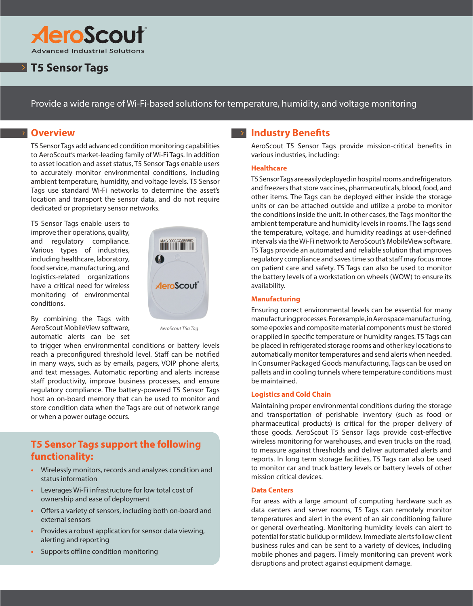

# **P T5 Sensor Tags**

Provide a wide range of Wi-Fi-based solutions for temperature, humidity, and voltage monitoring

## **B** Overview

T5 Sensor Tags add advanced condition monitoring capabilities to AeroScout's market-leading family of Wi-Fi Tags. In addition to asset location and asset status, T5 Sensor Tags enable users to accurately monitor environmental conditions, including ambient temperature, humidity, and voltage levels. T5 Sensor Tags use standard Wi-Fi networks to determine the asset's location and transport the sensor data, and do not require dedicated or proprietary sensor networks.

T5 Sensor Tags enable users to improve their operations, quality, and regulatory compliance. Various types of industries, including healthcare, laboratory, food service, manufacturing, and logistics-related organizations have a critical need for wireless monitoring of environmental conditions.



By combining the Tags with AeroScout MobileView software, automatic alerts can be set

*AeroScout T5a Tag*

to trigger when environmental conditions or battery levels reach a preconfigured threshold level. Staff can be notified in many ways, such as by emails, pagers, VOIP phone alerts, and text messages. Automatic reporting and alerts increase staff productivity, improve business processes, and ensure regulatory compliance. The battery-powered T5 Sensor Tags host an on-board memory that can be used to monitor and store condition data when the Tags are out of network range or when a power outage occurs.

## **T5 Sensor Tags support the following functionality:**

- **•** Wirelessly monitors, records and analyzes condition and status information
- **•** Leverages Wi-Fi infrastructure for low total cost of ownership and ease of deployment
- **•** Offers a variety of sensors, including both on-board and external sensors
- **•** Provides a robust application for sensor data viewing, alerting and reporting
- **•** Supports offline condition monitoring

### **Industry Benefits**

AeroScout T5 Sensor Tags provide mission-critical benefits in various industries, including:

#### **Healthcare**

T5 Sensor Tags are easily deployed in hospital rooms and refrigerators and freezers that store vaccines, pharmaceuticals, blood, food, and other items. The Tags can be deployed either inside the storage units or can be attached outside and utilize a probe to monitor the conditions inside the unit. In other cases, the Tags monitor the ambient temperature and humidity levels in rooms. The Tags send the temperature, voltage, and humidity readings at user-defined intervals via the Wi-Fi network to AeroScout's MobileView software. T5 Tags provide an automated and reliable solution that improves regulatory compliance and saves time so that staff may focus more on patient care and safety. T5 Tags can also be used to monitor the battery levels of a workstation on wheels (WOW) to ensure its availability.

#### **Manufacturing**

Ensuring correct environmental levels can be essential for many manufacturing processes. For example, in Aerospace manufacturing, some epoxies and composite material components must be stored or applied in specific temperature or humidity ranges. T5 Tags can be placed in refrigerated storage rooms and other key locations to automatically monitor temperatures and send alerts when needed. In Consumer Packaged Goods manufacturing, Tags can be used on pallets and in cooling tunnels where temperature conditions must be maintained.

#### **Logistics and Cold Chain**

Maintaining proper environmental conditions during the storage and transportation of perishable inventory (such as food or pharmaceutical products) is critical for the proper delivery of those goods. AeroScout T5 Sensor Tags provide cost-effective wireless monitoring for warehouses, and even trucks on the road, to measure against thresholds and deliver automated alerts and reports. In long term storage facilities, T5 Tags can also be used to monitor car and truck battery levels or battery levels of other mission critical devices.

#### **Data Centers**

For areas with a large amount of computing hardware such as data centers and server rooms, T5 Tags can remotely monitor temperatures and alert in the event of an air conditioning failure or general overheating. Monitoring humidity levels can alert to potential for static buildup or mildew. Immediate alerts follow client business rules and can be sent to a variety of devices, including mobile phones and pagers. Timely monitoring can prevent work disruptions and protect against equipment damage.